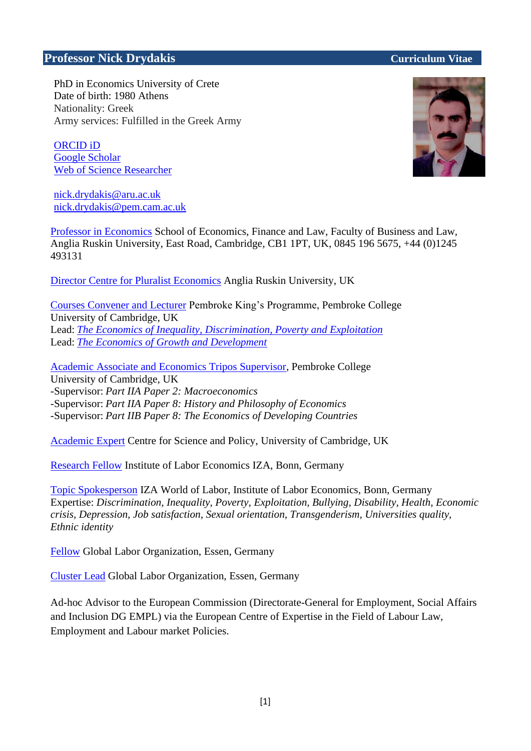# **Professor Nick Drydakis Curriculum Vitae**

PhD in Economics University of Crete Date of birth: 1980 Athens Nationality: Greek Army services: Fulfilled in the Greek Army

[ORCID iD](https://orcid.org/0000-0001-9827-6678) [Google Scholar](https://scholar.google.com/citations?user=TKnMWgkAAAAJ&hl=el&oi=ao) [Web of Science Researcher](https://publons.com/researcher/4305789/nick-drydakis/)

[nick.drydakis@aru.ac.uk](mailto:nd10@aru.ac.uk) nick.drydakis@pem.cam.ac.uk

Professor [in Economics](https://aru.ac.uk/people/nick-drydakis) School of Economics, Finance and Law, Faculty of Business and Law, Anglia Ruskin University, East Road, Cambridge, CB1 1PT, UK, 0845 196 5675, +44 (0)1245 493131

[Director Centre for Pluralist Economics](https://aru.ac.uk/business-and-law/research/centres/centre-for-pluralist-economics) Anglia Ruskin University, UK

Courses Convener [and Lecturer](https://www.pem.cam.ac.uk/international-programmes/pembroke-kings-summer-programme/the-economics-of-growth-and-development#Dr%20Nick) Pembroke King's Programme, Pembroke College University of Cambridge, UK Lead: *[The Economics of Inequality, Discrimination, Poverty and Exploitation](https://www.pem.cam.ac.uk/international-programmes/pembroke-kings-summer-programme/the-economics-of-inequality-discrimination-poverty-and-exploitation)* Lead: *[The Economics of Growth and Development](https://www.pem.cam.ac.uk/international-programmes/pembroke-kings-summer-programme/the-economics-of-growth-and-development)*

[Academic Associate and Economics Tripos Supervisor,](https://www.pem.cam.ac.uk/college/master-and-fellows/list-fellows/professor-nick-drydakis) Pembroke College University of Cambridge, UK -Supervisor: *Part IIA Paper 2: Macroeconomics* -Supervisor: *Part IIA Paper 8: History and Philosophy of Economics*

-Supervisor: *Part IIB Paper 8: The Economics of Developing Countries*

[Academic Expert](http://www.csap.cam.ac.uk/network/nick-drydakis/) Centre for Science and Policy, University of Cambridge, UK

[Research Fellow](http://legacy.iza.org/en/webcontent/personnel/photos/index_html?key=7041) Institute of Labor Economics IZA, Bonn, Germany

[Topic Spokesperson](https://wol.iza.org/spokespeople/nick-drydakis) IZA World of Labor, Institute of Labor Economics, Bonn, Germany Expertise: *Discrimination, Inequality, Poverty, Exploitation, Bullying, Disability, Health, Economic crisis, Depression, Job satisfaction, Sexual orientation, Transgenderism, Universities quality, Ethnic identity*

[Fellow](https://glabor.org/user/nickdrydakis/) Global Labor Organization, Essen, Germany

[Cluster Lead](https://glabor.org/cluster/thematic/gender/) Global Labor Organization, Essen, Germany

Ad-hoc Advisor to the European Commission (Directorate-General for Employment, Social Affairs and Inclusion DG EMPL) via the European Centre of Expertise in the Field of Labour Law, Employment and Labour market Policies.

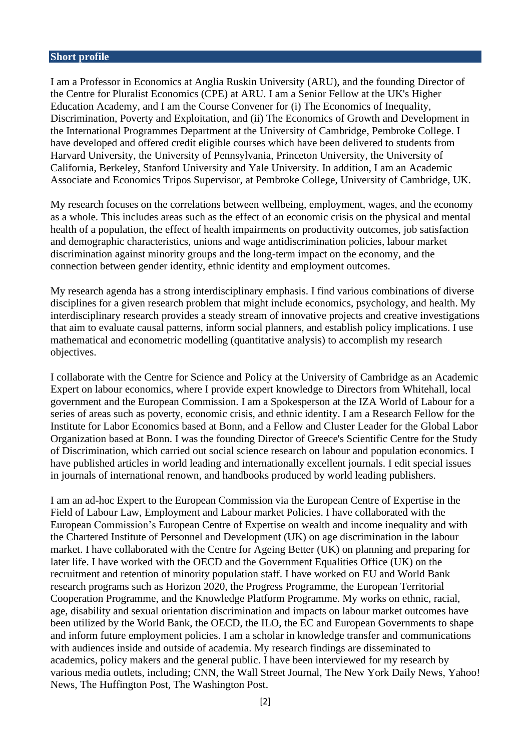#### **Short profile**

I am a Professor in Economics at Anglia Ruskin University (ARU), and the founding Director of the Centre for Pluralist Economics (CPE) at ARU. I am a Senior Fellow at the UK's Higher Education Academy, and I am the Course Convener for (i) The Economics of Inequality, Discrimination, Poverty and Exploitation, and (ii) The Economics of Growth and Development in the International Programmes Department at the University of Cambridge, Pembroke College. I have developed and offered credit eligible courses which have been delivered to students from Harvard University, the University of Pennsylvania, Princeton University, the University of California, Berkeley, Stanford University and Yale University. In addition, I am an Academic Associate and Economics Tripos Supervisor, at Pembroke College, University of Cambridge, UK.

My research focuses on the correlations between wellbeing, employment, wages, and the economy as a whole. This includes areas such as the effect of an economic crisis on the physical and mental health of a population, the effect of health impairments on productivity outcomes, job satisfaction and demographic characteristics, unions and wage antidiscrimination policies, labour market discrimination against minority groups and the long-term impact on the economy, and the connection between gender identity, ethnic identity and employment outcomes.

My research agenda has a strong interdisciplinary emphasis. I find various combinations of diverse disciplines for a given research problem that might include economics, psychology, and health. My interdisciplinary research provides a steady stream of innovative projects and creative investigations that aim to evaluate causal patterns, inform social planners, and establish policy implications. I use mathematical and econometric modelling (quantitative analysis) to accomplish my research objectives.

I collaborate with the Centre for Science and Policy at the University of Cambridge as an Academic Expert on labour economics, where I provide expert knowledge to Directors from Whitehall, local government and the European Commission. I am a Spokesperson at the IZA World of Labour for a series of areas such as poverty, economic crisis, and ethnic identity. I am a Research Fellow for the Institute for Labor Economics based at Bonn, and a Fellow and Cluster Leader for the Global Labor Organization based at Bonn. I was the founding Director of Greece's Scientific Centre for the Study of Discrimination, which carried out social science research on labour and population economics. I have published articles in world leading and internationally excellent journals. I edit special issues in journals of international renown, and handbooks produced by world leading publishers.

I am an ad-hoc Expert to the European Commission via the European Centre of Expertise in the Field of Labour Law, Employment and Labour market Policies. I have collaborated with the European Commission's European Centre of Expertise on wealth and income inequality and with the Chartered Institute of Personnel and Development (UK) on age discrimination in the labour market. I have collaborated with the Centre for Ageing Better (UK) on planning and preparing for later life. I have worked with the OECD and the Government Equalities Office (UK) on the recruitment and retention of minority population staff. I have worked on EU and World Bank research programs such as Horizon 2020, the Progress Programme, the European Territorial Cooperation Programme, and the Knowledge Platform Programme. My works on ethnic, racial, age, disability and sexual orientation discrimination and impacts on labour market outcomes have been utilized by the World Bank, the OECD, the ILO, the EC and European Governments to shape and inform future employment policies. I am a scholar in knowledge transfer and communications with audiences inside and outside of academia. My research findings are disseminated to academics, policy makers and the general public. I have been interviewed for my research by various media outlets, including; CNN, the Wall Street Journal, The New York Daily News, Yahoo! News, The Huffington Post, The Washington Post.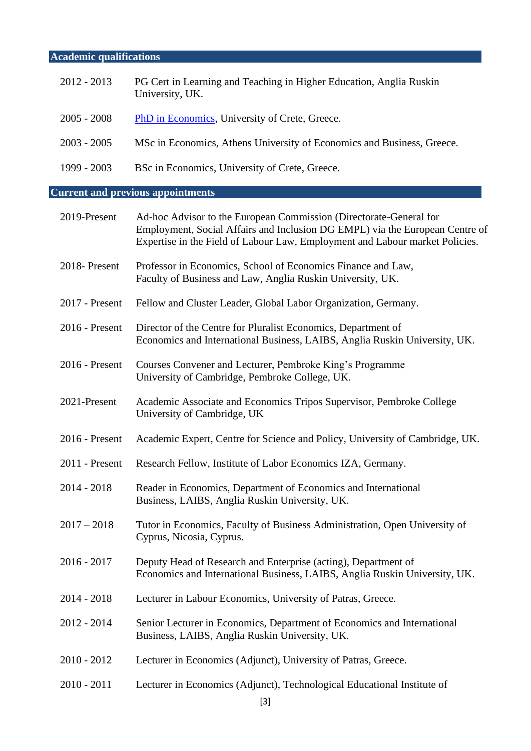# **Academic qualifications**

| $2012 - 2013$    | PG Cert in Learning and Teaching in Higher Education, Anglia Ruskin<br>University, UK.                                                                                                                                             |
|------------------|------------------------------------------------------------------------------------------------------------------------------------------------------------------------------------------------------------------------------------|
| $2005 - 2008$    | <b>PhD</b> in Economics, University of Crete, Greece.                                                                                                                                                                              |
| $2003 - 2005$    | MSc in Economics, Athens University of Economics and Business, Greece.                                                                                                                                                             |
| 1999 - 2003      | BSc in Economics, University of Crete, Greece.                                                                                                                                                                                     |
|                  | <b>Current and previous appointments</b>                                                                                                                                                                                           |
| 2019-Present     | Ad-hoc Advisor to the European Commission (Directorate-General for<br>Employment, Social Affairs and Inclusion DG EMPL) via the European Centre of<br>Expertise in the Field of Labour Law, Employment and Labour market Policies. |
| 2018-Present     | Professor in Economics, School of Economics Finance and Law,<br>Faculty of Business and Law, Anglia Ruskin University, UK.                                                                                                         |
| 2017 - Present   | Fellow and Cluster Leader, Global Labor Organization, Germany.                                                                                                                                                                     |
| 2016 - Present   | Director of the Centre for Pluralist Economics, Department of<br>Economics and International Business, LAIBS, Anglia Ruskin University, UK.                                                                                        |
| 2016 - Present   | Courses Convener and Lecturer, Pembroke King's Programme<br>University of Cambridge, Pembroke College, UK.                                                                                                                         |
| 2021-Present     | Academic Associate and Economics Tripos Supervisor, Pembroke College<br>University of Cambridge, UK                                                                                                                                |
| 2016 - Present   | Academic Expert, Centre for Science and Policy, University of Cambridge, UK.                                                                                                                                                       |
| $2011$ - Present | Research Fellow, Institute of Labor Economics IZA, Germany.                                                                                                                                                                        |
| $2014 - 2018$    | Reader in Economics, Department of Economics and International<br>Business, LAIBS, Anglia Ruskin University, UK.                                                                                                                   |
| $2017 - 2018$    | Tutor in Economics, Faculty of Business Administration, Open University of<br>Cyprus, Nicosia, Cyprus.                                                                                                                             |
| $2016 - 2017$    | Deputy Head of Research and Enterprise (acting), Department of<br>Economics and International Business, LAIBS, Anglia Ruskin University, UK.                                                                                       |
| $2014 - 2018$    | Lecturer in Labour Economics, University of Patras, Greece.                                                                                                                                                                        |
| $2012 - 2014$    | Senior Lecturer in Economics, Department of Economics and International                                                                                                                                                            |

- 2012 2014 Senior Lecturer in Economics, Department of Economics and International Business, LAIBS, Anglia Ruskin University, UK.
- 2010 2012 Lecturer in Economics (Adjunct), University of Patras, Greece.
- 2010 2011 Lecturer in Economics (Adjunct), Technological Educational Institute of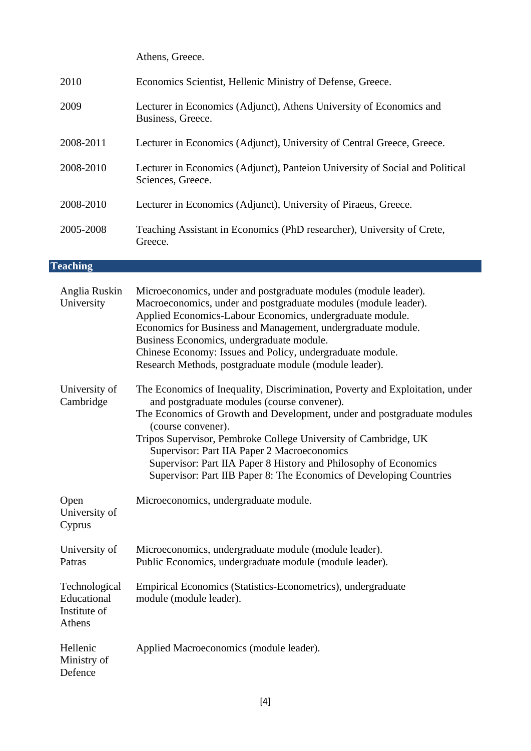Athens, Greece.

| 2010      | Economics Scientist, Hellenic Ministry of Defense, Greece.                                        |
|-----------|---------------------------------------------------------------------------------------------------|
| 2009      | Lecturer in Economics (Adjunct), Athens University of Economics and<br>Business, Greece.          |
| 2008-2011 | Lecturer in Economics (Adjunct), University of Central Greece, Greece.                            |
| 2008-2010 | Lecturer in Economics (Adjunct), Panteion University of Social and Political<br>Sciences, Greece. |
| 2008-2010 | Lecturer in Economics (Adjunct), University of Piraeus, Greece.                                   |
| 2005-2008 | Teaching Assistant in Economics (PhD researcher), University of Crete,<br>Greece.                 |

# **Teaching**

| Anglia Ruskin<br>University                            | Microeconomics, under and postgraduate modules (module leader).<br>Macroeconomics, under and postgraduate modules (module leader).<br>Applied Economics-Labour Economics, undergraduate module.<br>Economics for Business and Management, undergraduate module.<br>Business Economics, undergraduate module.<br>Chinese Economy: Issues and Policy, undergraduate module.<br>Research Methods, postgraduate module (module leader).                                                       |
|--------------------------------------------------------|-------------------------------------------------------------------------------------------------------------------------------------------------------------------------------------------------------------------------------------------------------------------------------------------------------------------------------------------------------------------------------------------------------------------------------------------------------------------------------------------|
| University of<br>Cambridge                             | The Economics of Inequality, Discrimination, Poverty and Exploitation, under<br>and postgraduate modules (course convener).<br>The Economics of Growth and Development, under and postgraduate modules<br>(course convener).<br>Tripos Supervisor, Pembroke College University of Cambridge, UK<br>Supervisor: Part IIA Paper 2 Macroeconomics<br>Supervisor: Part IIA Paper 8 History and Philosophy of Economics<br>Supervisor: Part IIB Paper 8: The Economics of Developing Countries |
| Open<br>University of<br>Cyprus                        | Microeconomics, undergraduate module.                                                                                                                                                                                                                                                                                                                                                                                                                                                     |
| University of<br>Patras                                | Microeconomics, undergraduate module (module leader).<br>Public Economics, undergraduate module (module leader).                                                                                                                                                                                                                                                                                                                                                                          |
| Technological<br>Educational<br>Institute of<br>Athens | Empirical Economics (Statistics-Econometrics), undergraduate<br>module (module leader).                                                                                                                                                                                                                                                                                                                                                                                                   |
| Hellenic<br>Ministry of<br>Defence                     | Applied Macroeconomics (module leader).                                                                                                                                                                                                                                                                                                                                                                                                                                                   |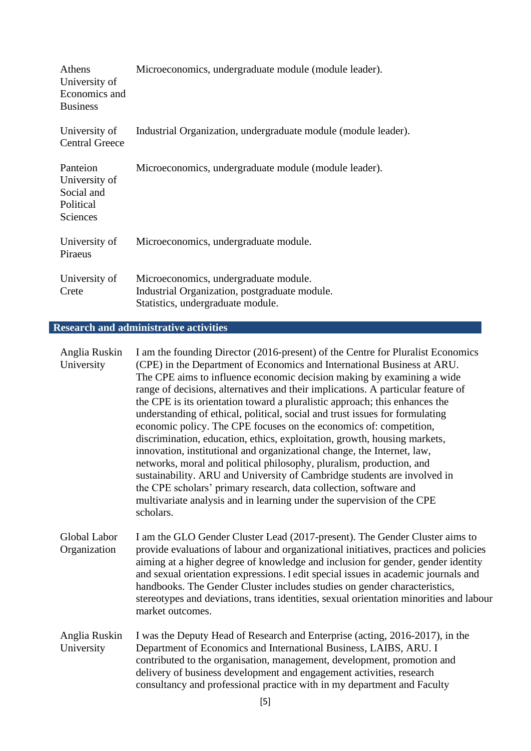| Athens<br>University of<br>Economics and<br><b>Business</b>             | Microeconomics, undergraduate module (module leader).                                                                       |
|-------------------------------------------------------------------------|-----------------------------------------------------------------------------------------------------------------------------|
| University of<br><b>Central Greece</b>                                  | Industrial Organization, undergraduate module (module leader).                                                              |
| Panteion<br>University of<br>Social and<br>Political<br><b>Sciences</b> | Microeconomics, undergraduate module (module leader).                                                                       |
| University of<br>Piraeus                                                | Microeconomics, undergraduate module.                                                                                       |
| University of<br>Crete                                                  | Microeconomics, undergraduate module.<br>Industrial Organization, postgraduate module.<br>Statistics, undergraduate module. |

# **Research and administrative activities**

| Anglia Ruskin<br>University  | I am the founding Director (2016-present) of the Centre for Pluralist Economics<br>(CPE) in the Department of Economics and International Business at ARU.<br>The CPE aims to influence economic decision making by examining a wide<br>range of decisions, alternatives and their implications. A particular feature of<br>the CPE is its orientation toward a pluralistic approach; this enhances the<br>understanding of ethical, political, social and trust issues for formulating<br>economic policy. The CPE focuses on the economics of: competition,<br>discrimination, education, ethics, exploitation, growth, housing markets,<br>innovation, institutional and organizational change, the Internet, law,<br>networks, moral and political philosophy, pluralism, production, and<br>sustainability. ARU and University of Cambridge students are involved in<br>the CPE scholars' primary research, data collection, software and<br>multivariate analysis and in learning under the supervision of the CPE<br>scholars. |
|------------------------------|---------------------------------------------------------------------------------------------------------------------------------------------------------------------------------------------------------------------------------------------------------------------------------------------------------------------------------------------------------------------------------------------------------------------------------------------------------------------------------------------------------------------------------------------------------------------------------------------------------------------------------------------------------------------------------------------------------------------------------------------------------------------------------------------------------------------------------------------------------------------------------------------------------------------------------------------------------------------------------------------------------------------------------------|
| Global Labor<br>Organization | I am the GLO Gender Cluster Lead (2017-present). The Gender Cluster aims to<br>provide evaluations of labour and organizational initiatives, practices and policies<br>aiming at a higher degree of knowledge and inclusion for gender, gender identity<br>and sexual orientation expressions. I edit special issues in academic journals and<br>handbooks. The Gender Cluster includes studies on gender characteristics,<br>stereotypes and deviations, trans identities, sexual orientation minorities and labour<br>market outcomes.                                                                                                                                                                                                                                                                                                                                                                                                                                                                                              |
| Anglia Ruskin<br>University  | I was the Deputy Head of Research and Enterprise (acting, 2016-2017), in the<br>Department of Economics and International Business, LAIBS, ARU. I<br>contributed to the organisation, management, development, promotion and<br>delivery of business development and engagement activities, research<br>consultancy and professional practice with in my department and Faculty                                                                                                                                                                                                                                                                                                                                                                                                                                                                                                                                                                                                                                                       |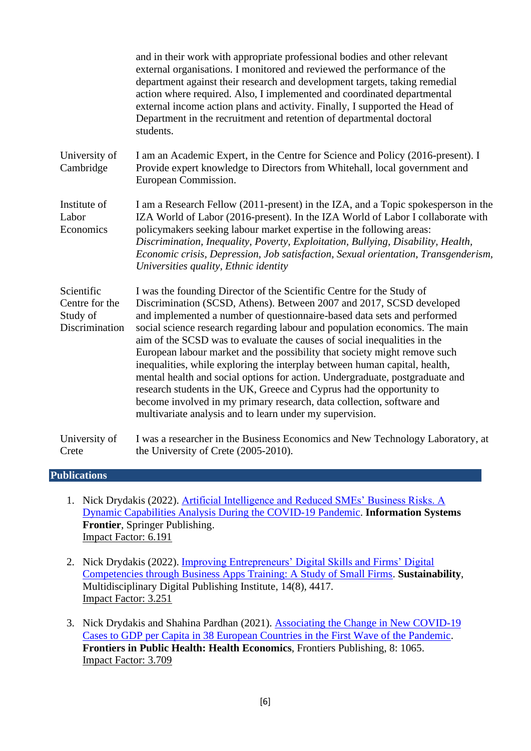|                                                            | and in their work with appropriate professional bodies and other relevant<br>external organisations. I monitored and reviewed the performance of the<br>department against their research and development targets, taking remedial<br>action where required. Also, I implemented and coordinated departmental<br>external income action plans and activity. Finally, I supported the Head of<br>Department in the recruitment and retention of departmental doctoral<br>students.                                                                                                                                                                                                                                                                                                                                                            |
|------------------------------------------------------------|----------------------------------------------------------------------------------------------------------------------------------------------------------------------------------------------------------------------------------------------------------------------------------------------------------------------------------------------------------------------------------------------------------------------------------------------------------------------------------------------------------------------------------------------------------------------------------------------------------------------------------------------------------------------------------------------------------------------------------------------------------------------------------------------------------------------------------------------|
| University of<br>Cambridge                                 | I am an Academic Expert, in the Centre for Science and Policy (2016-present). I<br>Provide expert knowledge to Directors from Whitehall, local government and<br>European Commission.                                                                                                                                                                                                                                                                                                                                                                                                                                                                                                                                                                                                                                                        |
| Institute of<br>Labor<br>Economics                         | I am a Research Fellow (2011-present) in the IZA, and a Topic spokesperson in the<br>IZA World of Labor (2016-present). In the IZA World of Labor I collaborate with<br>policymakers seeking labour market expertise in the following areas:<br>Discrimination, Inequality, Poverty, Exploitation, Bullying, Disability, Health,<br>Economic crisis, Depression, Job satisfaction, Sexual orientation, Transgenderism,<br>Universities quality, Ethnic identity                                                                                                                                                                                                                                                                                                                                                                              |
| Scientific<br>Centre for the<br>Study of<br>Discrimination | I was the founding Director of the Scientific Centre for the Study of<br>Discrimination (SCSD, Athens). Between 2007 and 2017, SCSD developed<br>and implemented a number of questionnaire-based data sets and performed<br>social science research regarding labour and population economics. The main<br>aim of the SCSD was to evaluate the causes of social inequalities in the<br>European labour market and the possibility that society might remove such<br>inequalities, while exploring the interplay between human capital, health,<br>mental health and social options for action. Undergraduate, postgraduate and<br>research students in the UK, Greece and Cyprus had the opportunity to<br>become involved in my primary research, data collection, software and<br>multivariate analysis and to learn under my supervision. |
| University of<br>Crete                                     | I was a researcher in the Business Economics and New Technology Laboratory, at<br>the University of Crete (2005-2010).                                                                                                                                                                                                                                                                                                                                                                                                                                                                                                                                                                                                                                                                                                                       |

#### **Publications**

- 1. Nick Drydakis (2022). [Artificial Intelligence and Reduced SMEs' Business Risks. A](https://link.springer.com/article/10.1007/s10796-022-10249-6)  [Dynamic Capabilities Analysis During the COVID-19 Pandemic.](https://link.springer.com/article/10.1007/s10796-022-10249-6) **Information Systems Frontier**, Springer Publishing. Impact Factor: 6.191
- 2. Nick Drydakis (2022). [Improving Entrepreneurs' Digital Skills and Firms' Digital](https://www.mdpi.com/2071-1050/14/8/4417/htm)  [Competencies through Business Apps Training: A Study of Small Firms.](https://www.mdpi.com/2071-1050/14/8/4417/htm) **Sustainability**, Multidisciplinary Digital Publishing Institute, 14(8), 4417. Impact Factor: 3.251
- 3. Nick Drydakis and Shahina Pardhan (2021). [Associating the Change in New COVID-19](https://www.frontiersin.org/articles/10.3389/fpubh.2020.582140/abstract)  [Cases to GDP per Capita in 38 European Countries in the First Wave of the Pandemic.](https://www.frontiersin.org/articles/10.3389/fpubh.2020.582140/abstract) **Frontiers in Public Health: Health Economics**, Frontiers Publishing, 8: 1065. Impact Factor: 3.709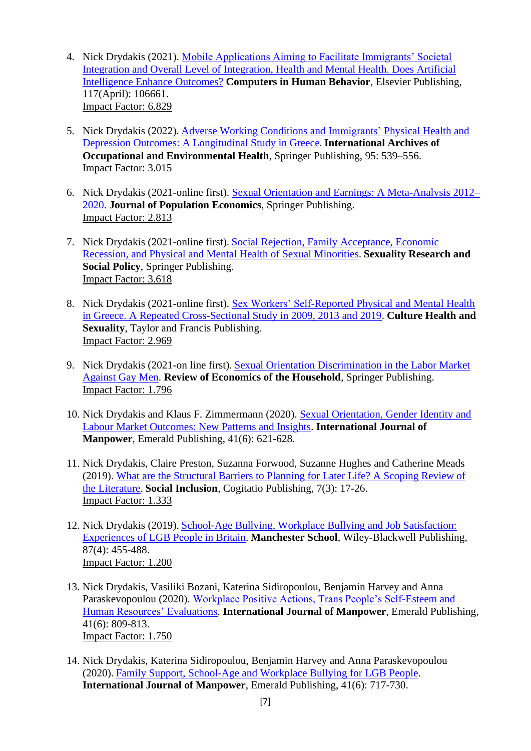- 4. Nick Drydakis (2021). [Mobile Applications Aiming to Facilitate Immigrants' Societal](https://www.sciencedirect.com/science/article/abs/pii/S0747563220304088)  [Integration and Overall Level of Integration, Health and Mental Health. Does Artificial](https://www.sciencedirect.com/science/article/abs/pii/S0747563220304088)  [Intelligence Enhance Outcomes?](https://www.sciencedirect.com/science/article/abs/pii/S0747563220304088) **Computers in Human Behavior**, Elsevier Publishing, 117(April): 106661. Impact Factor: 6.829
- 5. Nick Drydakis (2022). [Adverse Working Conditions and Immigrants' Physical Health and](https://link.springer.com/article/10.1007/s00420-021-01757-0)  Depression Outcomes: A [Longitudinal Study in Greece](https://link.springer.com/article/10.1007/s00420-021-01757-0). **International Archives of Occupational and Environmental Health**, Springer Publishing, 95: 539–556. Impact Factor: 3.015
- 6. Nick Drydakis (2021-online first). [Sexual Orientation and Earnings: A](https://link.springer.com/article/10.1007/s00148-021-00862-1) Meta-Analysis 2012– [2020.](https://link.springer.com/article/10.1007/s00148-021-00862-1) **Journal of Population Economics**, Springer Publishing. Impact Factor: 2.813
- 7. Nick Drydakis (2021-online first). [Social Rejection, Family Acceptance, Economic](https://link.springer.com/article/10.1007/s13178-021-00640-4)  [Recession, and Physical and Mental Health of Sexual Minorities.](https://link.springer.com/article/10.1007/s13178-021-00640-4) **Sexuality Research and Social Policy**, Springer Publishing. Impact Factor: 3.618
- 8. Nick Drydakis (2021-online first). [Sex Workers' Self-Reported Physical and Mental Health](https://www.tandfonline.com/doi/full/10.1080/13691058.2021.1974562)  [in Greece. A Repeated Cross-Sectional Study in 2009, 2013 and 2019.](https://www.tandfonline.com/doi/full/10.1080/13691058.2021.1974562) **Culture Health and Sexuality**, Taylor and Francis Publishing. Impact Factor: 2.969
- 9. Nick Drydakis (2021-on line first). [Sexual Orientation Discrimination in the Labor Market](https://link.springer.com/article/10.1007/s11150-021-09581-8)  [Against Gay Men.](https://link.springer.com/article/10.1007/s11150-021-09581-8) **Review of Economics of the Household**, Springer Publishing. Impact Factor: 1.796
- 10. Nick Drydakis and Klaus F. Zimmermann (2020). [Sexual Orientation, Gender Identity and](https://www.emerald.com/insight/content/doi/10.1108/IJM-03-2020-481/full/html)  [Labour Market Outcomes: New Patterns and Insights.](https://www.emerald.com/insight/content/doi/10.1108/IJM-03-2020-481/full/html) **International Journal of Manpower**, Emerald Publishing, 41(6): 621-628.
- 11. Nick Drydakis, Claire Preston, Suzanna Forwood, Suzanne Hughes and Catherine Meads (2019). [What are the Structural Barriers to Planning for Later Life? A Scoping Review of](https://www.cogitatiopress.com/socialinclusion/article/view/1883)  [the Literature.](https://www.cogitatiopress.com/socialinclusion/article/view/1883) **Social Inclusion**, Cogitatio Publishing, 7(3): 17-26. Impact Factor: 1.333
- 12. Nick Drydakis (2019). School‐[Age Bullying, Workplace Bullying and Job Satisfaction:](https://onlinelibrary.wiley.com/doi/10.1111/manc.12257)  [Experiences of LGB People in Britain.](https://onlinelibrary.wiley.com/doi/10.1111/manc.12257) **Manchester School**, Wiley-Blackwell Publishing, 87(4): 455-488. Impact Factor: 1.200
- 13. Nick Drydakis, Vasiliki Bozani, Katerina Sidiropoulou, Benjamin Harvey and Anna Paraskevopoulou (2020). [Workplace Positive Actions, Trans People's Self-Esteem and](https://www.emerald.com/insight/content/doi/10.1108/IJM-03-2019-0153/full/html)  [Human Resources' Evaluations.](https://www.emerald.com/insight/content/doi/10.1108/IJM-03-2019-0153/full/html) **International Journal of Manpower**, Emerald Publishing, 41(6): 809-813. Impact Factor: 1.750
- 14. Nick Drydakis, Katerina Sidiropoulou, Benjamin Harvey and Anna Paraskevopoulou (2020). [Family Support, School-Age and Workplace Bullying for LGB People.](https://www.emerald.com/insight/content/doi/10.1108/IJM-03-2019-0152/full/html) **International Journal of Manpower**, Emerald Publishing, 41(6): 717-730.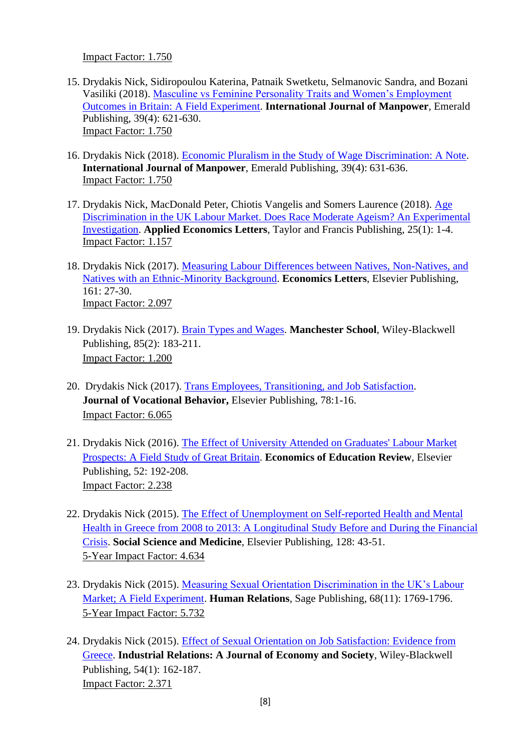Impact Factor: 1.750

- 15. Drydakis Nick, Sidiropoulou Katerina, Patnaik Swetketu, Selmanovic Sandra, and Bozani Vasiliki (2018). [Masculine vs Feminine Personality Traits and Women's Employment](https://www.emeraldinsight.com/doi/full/10.1108/IJM-09-2017-0255)  Outcomes [in Britain: A Field Experiment.](https://www.emeraldinsight.com/doi/full/10.1108/IJM-09-2017-0255) **International Journal of Manpower**, Emerald Publishing, 39(4): 621-630. Impact Factor: 1.750
- 16. Drydakis Nick (2018). [Economic Pluralism in the Study of Wage Discrimination: A Note.](https://www.emeraldinsight.com/doi/abs/10.1108/IJM-01-2018-0019) **International Journal of Manpower**, Emerald Publishing, 39(4): 631-636. Impact Factor: 1.750
- 17. Drydakis Nick, MacDonald Peter, Chiotis Vangelis and Somers Laurence (2018). [Age](http://www.tandfonline.com/doi/full/10.1080/13504851.2017.1290763)  [Discrimination in the UK Labour Market. Does Race Moderate Ageism? An Experimental](http://www.tandfonline.com/doi/full/10.1080/13504851.2017.1290763)  [Investigation.](http://www.tandfonline.com/doi/full/10.1080/13504851.2017.1290763) **Applied Economics Letters**, Taylor and Francis Publishing, 25(1): 1-4. Impact Factor: 1.157
- 18. Drydakis Nick (2017). [Measuring Labour Differences between Natives, Non-Natives, and](http://www.sciencedirect.com/science/article/pii/S016517651730349X)  [Natives with an Ethnic-Minority Background.](http://www.sciencedirect.com/science/article/pii/S016517651730349X) **Economics Letters**, Elsevier Publishing, 161: 27-30. Impact Factor: 2.097
- 19. Drydakis Nick (2017). [Brain Types and Wages.](http://onlinelibrary.wiley.com/doi/10.1111/manc.12142/abstract) **Manchester School**, Wiley-Blackwell Publishing, 85(2): 183-211. Impact Factor: 1.200
- 20. Drydakis Nick (2017). [Trans Employees, Transitioning, and Job Satisfaction.](http://www.sciencedirect.com/science/article/pii/S0001879116300690) **Journal of Vocational Behavior, Elsevier Publishing, 78:1-16.** Impact Factor: 6.065
- 21. Drydakis Nick (2016). [The Effect of University Attended on Graduates' Labour Market](http://www.sciencedirect.com/science/article/pii/S0272775716301145)  [Prospects: A Field Study of Great Britain.](http://www.sciencedirect.com/science/article/pii/S0272775716301145) **Economics of Education Review**, Elsevier Publishing, 52: 192-208. Impact Factor: 2.238
- 22. Drydakis Nick (2015). [The Effect of Unemployment on Self-reported Health and Mental](http://www.sciencedirect.com/science/article/pii/S0277953614008338)  [Health in Greece from 2008 to 2013: A Longitudinal Study Before and During the Financial](http://www.sciencedirect.com/science/article/pii/S0277953614008338)  [Crisis.](http://www.sciencedirect.com/science/article/pii/S0277953614008338) **Social Science and Medicine**, Elsevier Publishing, 128: 43-51. 5-Year Impact Factor: 4.634
- 23. Drydakis Nick (2015). [Measuring Sexual Orientation Discrimination in the UK's Labour](http://hum.sagepub.com/content/early/2015/03/31/0018726715569855.abstract)  [Market; A Field Experiment.](http://hum.sagepub.com/content/early/2015/03/31/0018726715569855.abstract) **Human Relations**, Sage Publishing, 68(11): 1769-1796. 5-Year Impact Factor: 5.732
- 24. Drydakis Nick (2015). [Effect of Sexual Orientation on Job Satisfaction: Evidence from](http://onlinelibrary.wiley.com/doi/10.1111/irel.12080/abstract)  [Greece.](http://onlinelibrary.wiley.com/doi/10.1111/irel.12080/abstract) **Industrial Relations: A Journal of Economy and Society**, Wiley-Blackwell Publishing, 54(1): 162-187. Impact Factor: 2.371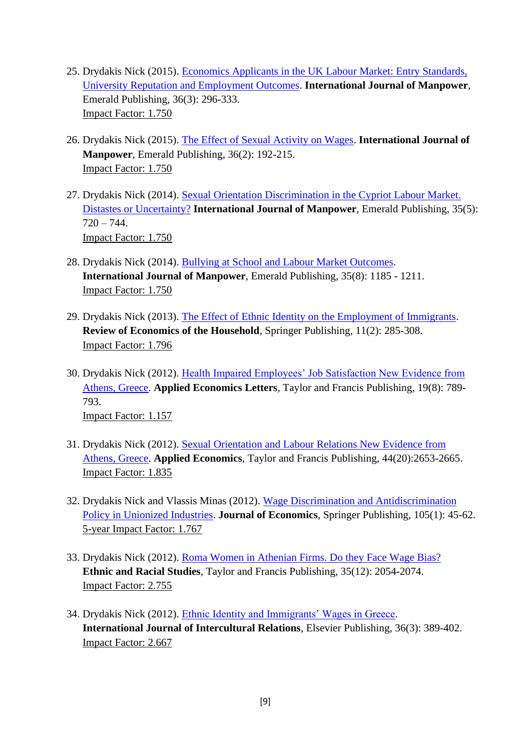- 25. Drydakis Nick (2015). [Economics Applicants in the UK Labour Market: Entry Standards,](file:///C:/Users/Νίκος/Desktop/ΕΚΚΕ%20ΑΙΤΗΣΗ%20ΔΡΥΔΑΚΗΣ%20ΝΙΚΟΣ%20ΑΝΙΣΟΤΗΤΕΣ/:%20%20http:/www.emeraldinsight.com/doi/abs/10.1108/IJM-02-2014-0061)  [University Reputation and Employment Outcomes.](file:///C:/Users/Νίκος/Desktop/ΕΚΚΕ%20ΑΙΤΗΣΗ%20ΔΡΥΔΑΚΗΣ%20ΝΙΚΟΣ%20ΑΝΙΣΟΤΗΤΕΣ/:%20%20http:/www.emeraldinsight.com/doi/abs/10.1108/IJM-02-2014-0061) **International Journal of Manpower**, Emerald Publishing, 36(3): 296-333. Impact Factor: 1.750
- 26. Drydakis Nick (2015). [The Effect of Sexual Activity on Wages.](http://www.emeraldinsight.com/doi/full/10.1108/IJM-11-2012-0163) **International Journal of Manpower**, Emerald Publishing, 36(2): 192-215. Impact Factor: 1.750
- 27. Drydakis Nick (2014). [Sexual Orientation Discrimination in the Cypriot Labour Market.](http://www.emeraldinsight.com/doi/full/10.1108/IJM-02-2012-0026)  [Distastes or Uncertainty?](http://www.emeraldinsight.com/doi/full/10.1108/IJM-02-2012-0026) **International Journal of Manpower**, Emerald Publishing, 35(5):  $720 - 744.$ Impact Factor: 1.750
- 28. Drydakis Nick (2014). [Bullying at School and Labour Market Outcomes.](http://www.emeraldinsight.com/doi/full/10.1108/IJM-02-2012-0026) **International Journal of Manpower**, Emerald Publishing, 35(8): 1185 - 1211. Impact Factor: 1.750
- 29. Drydakis Nick (2013). [The Effect of Ethnic Identity on the Employment of Immigrants.](http://link.springer.com/article/10.1007%2Fs11150-012-9142-0) **Review of Economics of the Household**, Springer Publishing, 11(2): 285-308. Impact Factor: 1.796
- 30. Drydakis Nick (2012). [Health Impaired Employees' Job Satisfaction New Evidence from](http://www.tandfonline.com/doi/full/10.1080/13504851.2011.605346#abstract)  [Athens, Greece.](http://www.tandfonline.com/doi/full/10.1080/13504851.2011.605346#abstract) **Applied Economics Letters**, Taylor and Francis Publishing, 19(8): 789- 793. Impact Factor: 1.157
- 31. Drydakis Nick (2012). [Sexual Orientation and Labour Relations New Evidence from](http://www.tandfonline.com/doi/full/10.1080/00036846.2011.566194#abstract)  [Athens, Greece.](http://www.tandfonline.com/doi/full/10.1080/00036846.2011.566194#abstract) **Applied Economics**, Taylor and Francis Publishing, 44(20):2653-2665. Impact Factor: 1.835
- 32. Drydakis Nick and Vlassis Minas (2012). [Wage Discrimination and Antidiscrimination](http://link.springer.com/article/10.1007%2Fs00712-011-0241-9)  [Policy in Unionized Industries.](http://link.springer.com/article/10.1007%2Fs00712-011-0241-9) **Journal of Economics**, Springer Publishing, 105(1): 45-62. 5-year Impact Factor: 1.767
- 33. Drydakis Nick (2012). [Roma Women in Athenian Firms. Do they Face Wage Bias?](http://www.tandfonline.com/doi/abs/10.1080/01419870.2011.634981) **Ethnic and Racial Studies**, Taylor and Francis Publishing, 35(12): 2054-2074. Impact Factor: 2.755
- 34. Drydakis Nick (2012). [Ethnic Identity and Immigrants' Wages in Greece.](http://www.sciencedirect.com/science/article/pii/S0147176711000915) **International Journal of Intercultural Relations**, Elsevier Publishing, 36(3): 389-402. Impact Factor: 2.667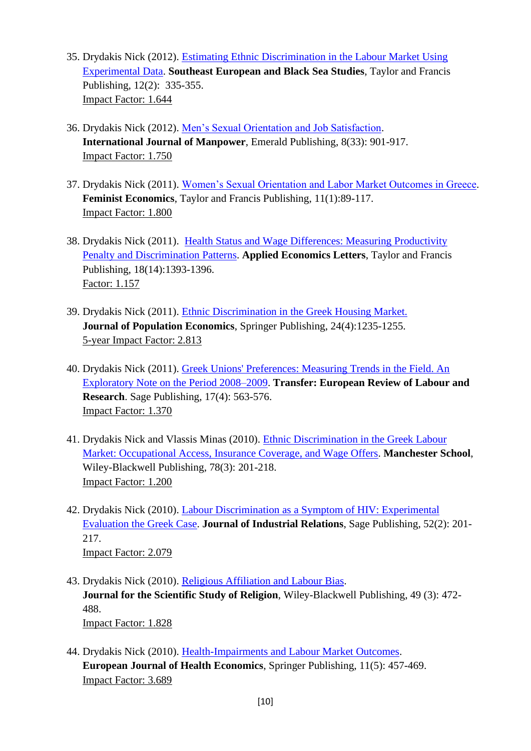- 35. Drydakis Nick (2012). [Estimating Ethnic Discrimination in the Labour Market Using](http://www.tandfonline.com/doi/full/10.1080/14683857.2012.686016#abstract)  [Experimental Data.](http://www.tandfonline.com/doi/full/10.1080/14683857.2012.686016#abstract) **Southeast European and Black Sea Studies**, Taylor and Francis Publishing, 12(2): 335-355. Impact Factor: 1.644
- 36. Drydakis Nick (2012). [Men's Sexual Orientation and Job Satisfaction.](http://www.emeraldinsight.com/doi/full/10.1108/01437721211280371) **International Journal of Manpower**, Emerald Publishing, 8(33): 901-917. Impact Factor: 1.750
- 37. Drydakis Nick (2011). [Women's Sexual Orientation and Labor Market Outcomes in Greece.](http://www.tandfonline.com/doi/abs/10.1080/13545701.2010.541858) **Feminist Economics**, Taylor and Francis Publishing, 11(1):89-117. Impact Factor: 1.800
- 38. Drydakis Nick (2011). [Health Status and Wage Differences: Measuring Productivity](http://www.tandfonline.com/doi/abs/10.1080/13504851.2010.537628)  [Penalty and Discrimination Patterns.](http://www.tandfonline.com/doi/abs/10.1080/13504851.2010.537628) **Applied Economics Letters**, Taylor and Francis Publishing, 18(14):1393-1396. Factor: 1.157
- 39. Drydakis Nick (2011). [Ethnic Discrimination in the Greek Housing Market.](http://link.springer.com/article/10.1007%2Fs00148-010-0313-0) **Journal of Population Economics**, Springer Publishing, 24(4):1235-1255. 5-year Impact Factor: 2.813
- 40. Drydakis Nick (2011). [Greek Unions' Preferences: Measuring Trends in the Field. An](http://trs.sagepub.com/content/17/4/563.abstract)  [Exploratory Note on the Period 2008–2009.](http://trs.sagepub.com/content/17/4/563.abstract) **Transfer: European Review of Labour and Research**. Sage Publishing, 17(4): 563-576. Impact Factor: 1.370
- 41. Drydakis Nick and Vlassis Minas (2010). [Ethnic Discrimination in the Greek Labour](http://onlinelibrary.wiley.com/doi/10.1111/j.1467-9957.2009.02132.x/abstract) [Market: Occupational Access, Insurance Coverage, and Wage Offers.](http://onlinelibrary.wiley.com/doi/10.1111/j.1467-9957.2009.02132.x/abstract) **Manchester School**, Wiley-Blackwell Publishing, 78(3): 201-218. Impact Factor: 1.200
- 42. Drydakis Nick (2010). [Labour Discrimination as a Symptom of HIV: Experimental](http://jir.sagepub.com/content/52/2/201)  [Evaluation the Greek Case.](http://jir.sagepub.com/content/52/2/201) **Journal of Industrial Relations**, Sage Publishing, 52(2): 201- 217. Impact Factor: 2.079
- 43. Drydakis Nick (2010). [Religious Affiliation and Labour Bias.](http://onlinelibrary.wiley.com/doi/10.1111/j.1468-5906.2010.01523.x/abstract) **Journal for the Scientific Study of Religion**, Wiley-Blackwell Publishing, 49 (3): 472- 488. Impact Factor: 1.828
- 44. Drydakis Nick (2010). [Health-Impairments and Labour Market Outcomes.](http://link.springer.com/article/10.1007%2Fs10198-009-0182-1) **European Journal of Health Economics**, Springer Publishing, 11(5): 457-469. Impact Factor: 3.689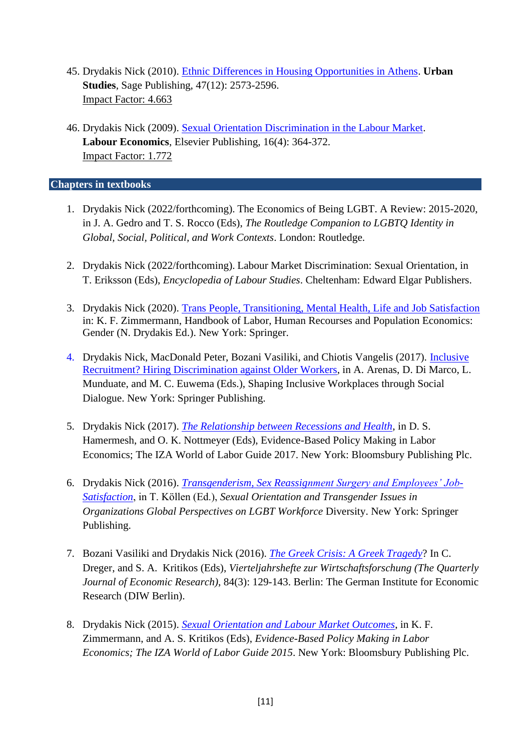- 45. Drydakis Nick (2010). [Ethnic Differences in Housing Opportunities in Athens.](http://usj.sagepub.com/content/47/12/2573) **Urban Studies**, Sage Publishing, 47(12): 2573-2596. Impact Factor: 4.663
- 46. Drydakis Nick (2009). [Sexual Orientation Discrimination in the Labour Market.](http://www.sciencedirect.com/science/article/pii/S0927537108001322) **Labour Economics**, Elsevier Publishing, 16(4): 364-372. Impact Factor: 1.772

**Chapters in textbooks** 

- 1. Drydakis Nick (2022/forthcoming). The Economics of Being LGBT. A Review: 2015-2020, in J. A. Gedro and T. S. Rocco (Eds), *The Routledge Companion to LGBTQ Identity in Global, Social, Political, and Work Contexts*. London: Routledge.
- 2. Drydakis Nick (2022/forthcoming). Labour Market Discrimination: Sexual Orientation, in T. Eriksson (Eds), *Encyclopedia of Labour Studies*. Cheltenham: Edward Elgar Publishers.
- 3. Drydakis Nick (2020). [Trans People, Transitioning, Mental Health, Life and Job Satisfaction](https://link.springer.com/referenceworkentry/10.1007/978-3-319-57365-6_33-1) in: K. F. Zimmermann, [Handbook of Labor, Human Recourses and Population Economics:](https://link.springer.com/referenceworkentry/10.1007/978-3-319-57365-6_33-1) Gender (N. Drydakis Ed.). New York: Springer.
- 4. Drydakis Nick, MacDonald Peter, Bozani Vasiliki, and Chiotis Vangelis (2017). [Inclusive](https://www.springer.com/gp/book/9783319663920) [Recruitment? Hiring Discrimination against Older Workers,](https://www.springer.com/gp/book/9783319663920) in A. Arenas, D. Di Marco, L. Munduate, and M. C. Euwema (Eds.), Shaping Inclusive Workplaces through Social Dialogue. New York: Springer Publishing.
- 5. Drydakis Nick (2017). *[The Relationship between Recessions and Health](https://bloomsbury.com/uk/evidence-based-policy-making-in-labor-economics-9781472950727/)*, in D. S. Hamermesh, and O. K. Nottmeyer (Eds), Evidence-Based Policy Making in Labor Economics; The IZA World of Labor Guide 2017. New York: Bloomsbury Publishing Plc.
- 6. Drydakis Nick (2016). *[Transgenderism, Sex Reassignment Surgery and Employees' Job-](http://link.springer.com/chapter/10.1007/978-3-319-29623-4_5)[Satisfaction](http://link.springer.com/chapter/10.1007/978-3-319-29623-4_5)*, in T. Köllen (Ed.), *Sexual Orientation and Transgender Issues in Organizations Global Perspectives on LGBT Workforce* Diversity. New York: Springer Publishing.
- 7. Bozani Vasiliki and Drydakis Nick (2016). *[The Greek Crisis: A Greek Tragedy](https://www.diw.de/sixcms/detail.php?id=diw_01.c.528979.de)*? In C. Dreger, and S. A. Kritikos (Eds), *Vierteljahrshefte zur Wirtschaftsforschung (The Quarterly Journal of Economic Research)*, 84(3): 129-143. Berlin: The German Institute for Economic Research (DIW Berlin).
- 8. Drydakis Nick (2015). *[Sexual Orientation and Labour Market Outcomes](http://www.bloomsbury.com/uk/evidence-based-policy-making-in-labor-economics-9781472925176/)*, in K. F. Zimmermann, and A. S. Kritikos (Eds), *Evidence-Based Policy Making in Labor Economics; The IZA World of Labor Guide 2015*. New York: Bloomsbury Publishing Plc.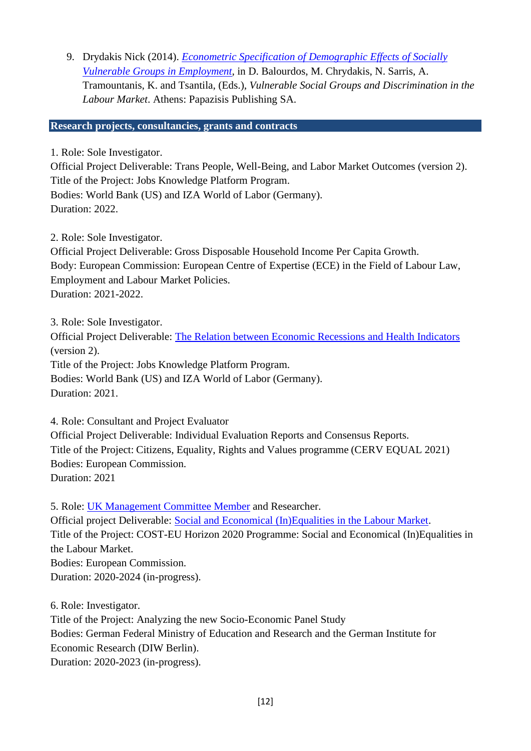9. Drydakis Nick (2014). *[Econometric Specification of Demographic Effects of Socially](http://ekke.gr/ocd/wp-content/uploads/2014/01/EKKE_VSGs_Greece_en.pdf)  [Vulnerable Groups in Employment](http://ekke.gr/ocd/wp-content/uploads/2014/01/EKKE_VSGs_Greece_en.pdf)*, in D. Balourdos, M. Chrydakis, N. Sarris, A. Tramountanis, K. and Tsantila, (Eds.), *Vulnerable Social Groups and Discrimination in the Labour Market*. Athens: Papazisis Publishing SA.

### **Research projects, consultancies, grants and contracts**

1. Role: Sole Investigator.

Official Project Deliverable: Trans People, Well-Being, and Labor Market Outcomes (version 2). Title of the Project: Jobs Knowledge Platform Program.

Bodies: World Bank (US) and IZA World of Labor (Germany). Duration: 2022.

2. Role: Sole Investigator.

Official Project Deliverable: Gross Disposable Household Income Per Capita Growth. Body: European Commission: European Centre of Expertise (ECE) in the Field of Labour Law, Employment and Labour Market Policies. Duration: 2021-2022.

3. Role: Sole Investigator.

Official Project Deliverable: [The Relation between Economic Recessions and Health Indicators](https://wol.iza.org/uploads/articles/592/pdfs/relationship-between-recessions-and-health.pdf) (version 2).

Title of the Project: Jobs Knowledge Platform Program. Bodies: World Bank (US) and IZA World of Labor (Germany). Duration: 2021.

4. Role: Consultant and Project Evaluator

Official Project Deliverable: Individual Evaluation Reports and Consensus Reports. Title of the Project: Citizens, Equality, Rights and Values programme (CERV EQUAL 2021) Bodies: European Commission. Duration: 2021

5. Role: [UK Management Committee Member](https://www.cost.eu/actions/CA19103/#tabs+Name:Management%20Committee) and Researcher. Official project Deliverable: [Social and Economical \(In\)Equalities in the Labour Market.](https://www.cost.eu/actions/CA19103/#tabs+Name:Description) Title of the Project: COST-EU Horizon 2020 Programme: Social and Economical (In)Equalities in the Labour Market. Bodies: European Commission. Duration: 2020-2024 (in-progress).

6. Role: Investigator.

Title of the Project: Analyzing the new Socio-Economic Panel Study Bodies: German Federal Ministry of Education and Research and the German Institute for Economic Research (DIW Berlin). Duration: 2020-2023 (in-progress).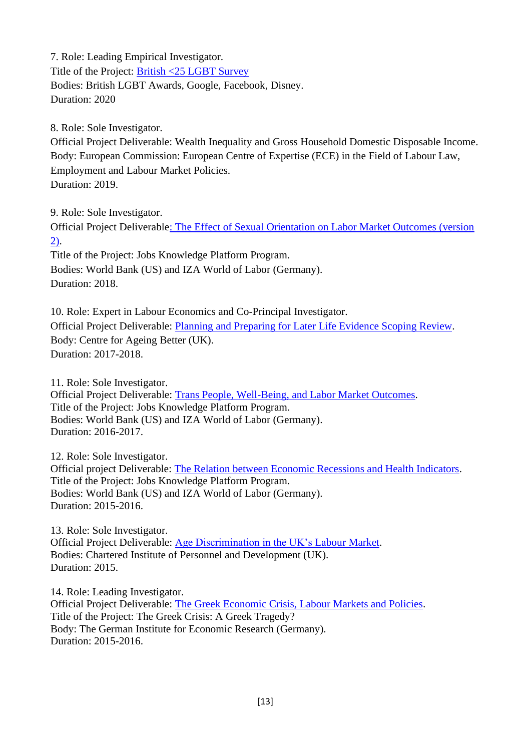7. Role: Leading Empirical Investigator. Title of the Project: [British <25 LGBT Survey](https://www.britishlgbtawards.com/wp-content/uploads/2020/01/LGBT25-Report-Headlines-Final.pdf) Bodies: British LGBT Awards, Google, Facebook, Disney. Duration: 2020

8. Role: Sole Investigator.

Official Project Deliverable: Wealth Inequality and Gross Household Domestic Disposable Income. Body: European Commission: European Centre of Expertise (ECE) in the Field of Labour Law, Employment and Labour Market Policies. Duration: 2019.

9. Role: Sole Investigator.

Official Project Deliverabl[e: The Effect of Sexual Orientation on Labor Market Outcomes \(version](https://wol.iza.org/articles/sexual-orientation-and-labor-market-outcomes/long)  [2\).](https://wol.iza.org/articles/sexual-orientation-and-labor-market-outcomes/long)

Title of the Project: Jobs Knowledge Platform Program. Bodies: World Bank (US) and IZA World of Labor (Germany). Duration: 2018.

10. Role: Expert in Labour Economics and Co-Principal Investigator. Official Project Deliverable: [Planning and Preparing for Later Life Evidence Scoping Review.](https://www.ageing-better.org.uk/sites/default/files/2018-09/Planning-and-preparing-for-later-life-research-report.pdf) Body: Centre for Ageing Better (UK). Duration: 2017-2018.

11. Role: Sole Investigator. Official Project Deliverable: [Trans People, Well-Being, and Labor Market Outcomes.](https://wol.iza.org/uploads/articles/386/pdfs/trans-people-well-being-and-labor-market-outcomes.pdf?v=1) Title of the Project: Jobs Knowledge Platform Program. Bodies: World Bank (US) and IZA World of Labor (Germany). Duration: 2016-2017.

12. Role: Sole Investigator. Official project Deliverable: [The Relation between Economic Recessions and Health Indicators.](http://wol.iza.org/articles/relationship-between-recessions-and-health-1.pdf) Title of the Project: Jobs Knowledge Platform Program. Bodies: World Bank (US) and IZA World of Labor (Germany). Duration: 2015-2016.

13. Role: Sole Investigator. Official Project Deliverable: [Age Discrimination in the UK's Labour Market.](http://www.cipd.co.uk/pm/peoplemanagement/p/paymentgateway.aspx?returnURL=/pm/peoplemanagement/b/weblog/archive/2015/07/23/under-30-you-re-4-25-times-more-likely-to-get-an-interview.aspx&blogid=2&postid=99748) Bodies: Chartered Institute of Personnel and Development (UK). Duration: 2015.

14. Role: Leading Investigator. Official Project Deliverable: [The Greek Economic Crisis, Labour Markets and Policies.](https://www.diw.de/sixcms/detail.php?id=diw_01.c.528979.de) Title of the Project: The Greek Crisis: A Greek Tragedy? Body: The German Institute for Economic Research (Germany). Duration: 2015-2016.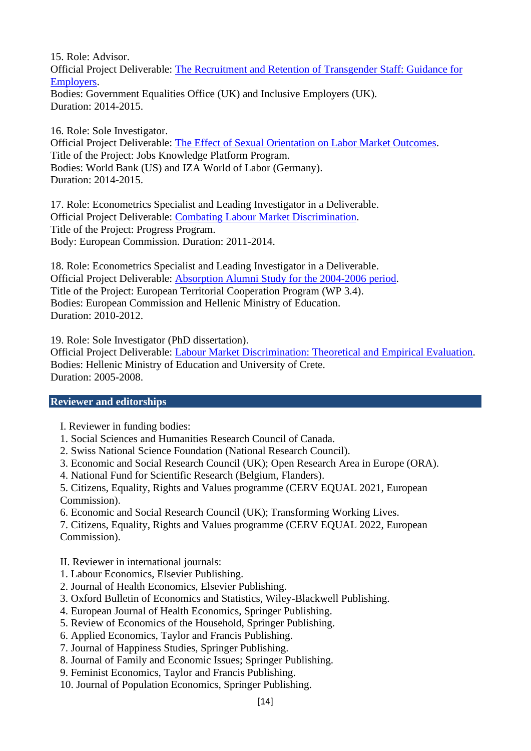15. Role: Advisor. Official Project Deliverable: [The Recruitment and Retention of Transgender Staff: Guidance for](https://www.gov.uk/government/publications/recruiting-and-retaining-transgender-staff-a-guide-for-employers)  [Employers.](https://www.gov.uk/government/publications/recruiting-and-retaining-transgender-staff-a-guide-for-employers)

Bodies: Government Equalities Office (UK) and Inclusive Employers (UK). Duration: 2014-2015.

16. Role: Sole Investigator. Official Project Deliverable: [The Effect of Sexual Orientation on Labor Market Outcomes.](http://wol.iza.org/articles/sexual-orientation-and-labor-market-outcomes-1.pdf) Title of the Project: Jobs Knowledge Platform Program. Bodies: World Bank (US) and IZA World of Labor (Germany). Duration: 2014-2015.

17. Role: Econometrics Specialist and Leading Investigator in a Deliverable. Official Project Deliverable: [Combating Labour Market Discrimination.](http://ekke.gr/ocd/wp-content/uploads/2014/01/EKKE_VSGs_Greece_en.pdf) Title of the Project: Progress Program. Body: European Commission. Duration: 2011-2014.

18. Role: Econometrics Specialist and Leading Investigator in a Deliverable. Official Project Deliverable: [Absorption Alumni Study for the 2004-2006 period.](http://www.dasta.uoc.gr/) Title of the Project: European Territorial Cooperation Program (WP 3.4). Bodies: European Commission and Hellenic Ministry of Education. Duration: 2010-2012.

19. Role: Sole Investigator (PhD dissertation).

Official Project Deliverable: [Labour Market Discrimination: Theoretical and Empirical Evaluation.](http://elocus.lib.uoc.gr/dlib/f/8/4/metadata-dlib-13ea583b8e924da363fd5b0dbcc288f3_1243837740.tkl) Bodies: Hellenic Ministry of Education and University of Crete. Duration: 2005-2008.

#### **Reviewer and editorships**

- I. Reviewer in funding bodies:
- 1. Social Sciences and Humanities Research Council of Canada.
- 2. Swiss National Science Foundation (National Research Council).
- 3. Economic and Social Research Council (UK); Open Research Area in Europe (ORA).
- 4. National Fund for Scientific Research (Belgium, Flanders).

5. Citizens, Equality, Rights and Values programme (CERV EQUAL 2021, European Commission).

6. Economic and Social Research Council (UK); Transforming Working Lives.

7. Citizens, Equality, Rights and Values programme (CERV EQUAL 2022, European Commission).

II. Reviewer in international journals:

- 1. Labour Economics, Elsevier Publishing.
- 2. Journal of Health Economics, Elsevier Publishing.
- 3. Oxford Bulletin of Economics and Statistics, Wiley-Blackwell Publishing.
- 4. European Journal of Health Economics, Springer Publishing.
- 5. Review of Economics of the Household, Springer Publishing.
- 6. Applied Economics, Taylor and Francis Publishing.
- 7. Journal of Happiness Studies, Springer Publishing.
- 8. Journal of Family and Economic Issues; Springer Publishing.
- 9. Feminist Economics, Taylor and Francis Publishing.
- 10. Journal of Population Economics, Springer Publishing.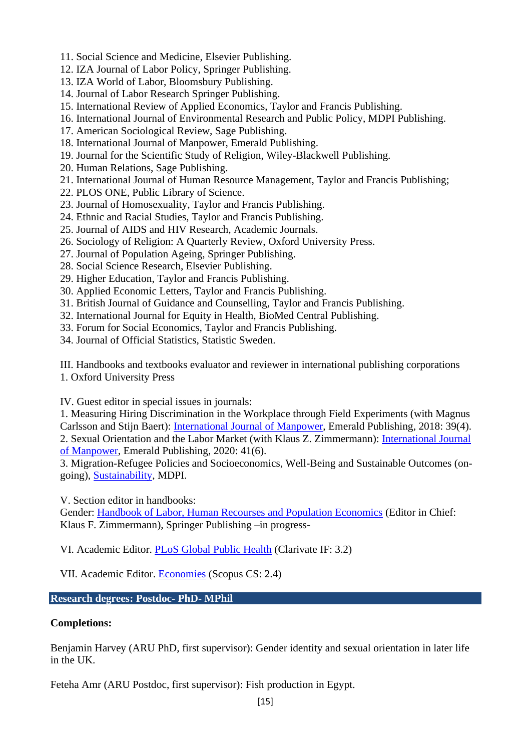- 11. Social Science and Medicine, Elsevier Publishing.
- 12. IZA Journal of Labor Policy, Springer Publishing.
- 13. IZA World of Labor, Bloomsbury Publishing.
- 14. Journal of Labor Research Springer Publishing.
- 15. International Review of Applied Economics, Taylor and Francis Publishing.
- 16. International Journal of Environmental Research and Public Policy, MDPI Publishing.
- 17. American Sociological Review, Sage Publishing.
- 18. International Journal of Manpower, Emerald Publishing.
- 19. Journal for the Scientific Study of Religion, Wiley-Blackwell Publishing.
- 20. Human Relations, Sage Publishing.
- 21. International Journal of Human Resource Management, Taylor and Francis Publishing;
- 22. PLOS ONE, Public Library of Science.
- 23. Journal of Homosexuality, Taylor and Francis Publishing.
- 24. Ethnic and Racial Studies, Taylor and Francis Publishing.
- 25. Journal of AIDS and HIV Research, Academic Journals.
- 26. Sociology of Religion: A Quarterly Review, Oxford University Press.
- 27. Journal of Population Ageing, Springer Publishing.
- 28. Social Science Research, Elsevier Publishing.
- 29. Higher Education, Taylor and Francis Publishing.
- 30. Applied Economic Letters, Taylor and Francis Publishing.
- 31. British Journal of Guidance and Counselling, Taylor and Francis Publishing.
- 32. International Journal for Equity in Health, BioMed Central Publishing.
- 33. Forum for Social Economics, Taylor and Francis Publishing.
- 34. Journal of Official Statistics, Statistic Sweden.

III. Handbooks and textbooks evaluator and reviewer in international publishing corporations 1. Oxford University Press

IV. Guest editor in special issues in journals:

1. Measuring Hiring Discrimination in the Workplace through Field Experiments (with Magnus Carlsson and Stijn Baert): [International Journal of Manpower,](https://www.emeraldinsight.com/toc/ijm/39/4) Emerald Publishing, 2018: 39(4). 2. Sexual Orientation and the Labor Market (with Klaus Z. Zimmermann): [International Journal](http://www.emeraldgrouppublishing.com/products/journals/call_for_papers.htm?id=8012)  [of Manpower,](http://www.emeraldgrouppublishing.com/products/journals/call_for_papers.htm?id=8012) Emerald Publishing, 2020: 41(6).

3. Migration-Refugee Policies and Socioeconomics, Well-Being and Sustainable Outcomes (ongoing), [Sustainability,](https://www.mdpi.com/journal/sustainability/special_issues/Sus_migration_sustainableoutcomes) MDPI.

V. Section editor in handbooks:

Gender: [Handbook of Labor, Human Recourses and Population Economics](https://meteor.springer.com/hb_labor/?id=595&tab=About&mode=ReadPage&entity=5077) (Editor in Chief: Klaus F. Zimmermann), Springer Publishing –in progress-

VI. Academic Editor. [PLoS Global Public Health](https://journals.plos.org/globalpublichealth/) (Clarivate IF: 3.2)

VII. Academic Editor. [Economies](https://www.mdpi.com/journal/economies) (Scopus CS: 2.4)

### **Research degrees: Postdoc- PhD- MPhil**

#### **Completions:**

Benjamin Harvey (ARU PhD, first supervisor): Gender identity and sexual orientation in later life in the UK.

Feteha Amr (ARU Postdoc, first supervisor): Fish production in Egypt.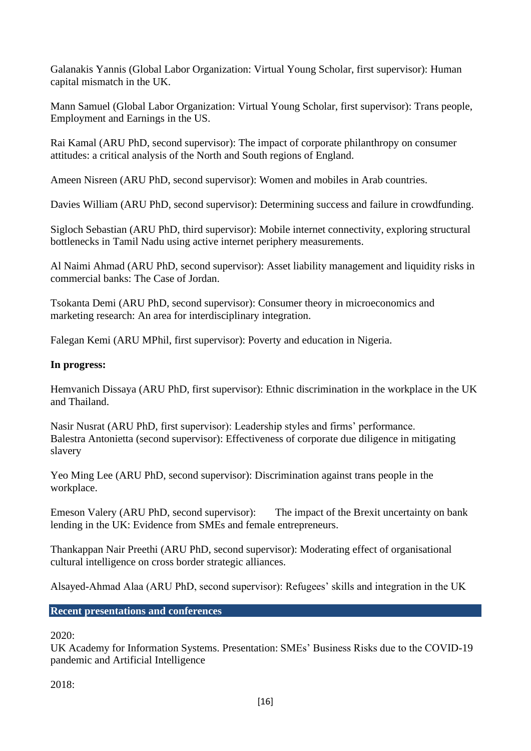Galanakis Yannis (Global Labor Organization: Virtual Young Scholar, first supervisor): Human capital mismatch in the UK.

Mann Samuel (Global Labor Organization: Virtual Young Scholar, first supervisor): Trans people, Employment and Earnings in the US.

Rai Kamal (ARU PhD, second supervisor): The impact of corporate philanthropy on consumer attitudes: a critical analysis of the North and South regions of England.

Ameen Nisreen (ARU PhD, second supervisor): Women and mobiles in Arab countries.

Davies William (ARU PhD, second supervisor): Determining success and failure in crowdfunding.

Sigloch Sebastian (ARU PhD, third supervisor): Mobile internet connectivity, exploring structural bottlenecks in Tamil Nadu using active internet periphery measurements.

Al Naimi Ahmad (ARU PhD, second supervisor): Asset liability management and liquidity risks in commercial banks: The Case of Jordan.

Tsokanta Demi (ARU PhD, second supervisor): Consumer theory in microeconomics and marketing research: An area for interdisciplinary integration.

Falegan Kemi (ARU MPhil, first supervisor): Poverty and education in Nigeria.

# **In progress:**

Hemvanich Dissaya (ARU PhD, first supervisor): Ethnic discrimination in the workplace in the UK and Thailand.

Nasir Nusrat (ARU PhD, first supervisor): Leadership styles and firms' performance. Balestra Antonietta (second supervisor): Effectiveness of corporate due diligence in mitigating slavery

Yeo Ming Lee (ARU PhD, second supervisor): Discrimination against trans people in the workplace.

Emeson Valery (ARU PhD, second supervisor): The impact of the Brexit uncertainty on bank lending in the UK: Evidence from SMEs and female entrepreneurs.

Thankappan Nair Preethi (ARU PhD, second supervisor): Moderating effect of organisational cultural intelligence on cross border strategic alliances.

Alsayed-Ahmad Alaa (ARU PhD, second supervisor): Refugees' skills and integration in the UK

**Recent presentations and conferences**

## 2020:

UK Academy for Information Systems. Presentation: SMEs' Business Risks due to the COVID-19 pandemic and Artificial Intelligence

2018: